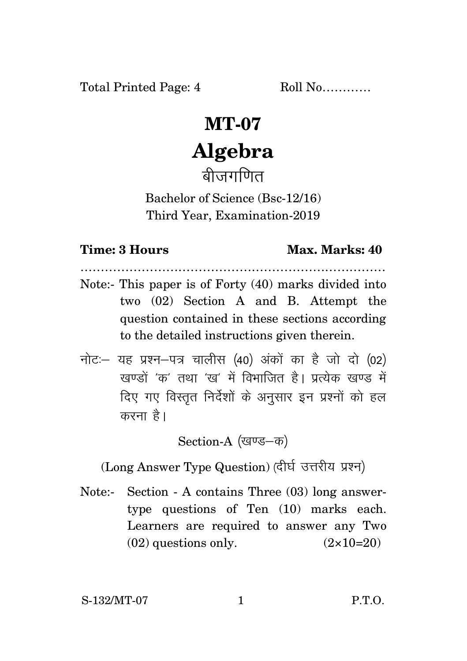Total Printed Page: 4 Roll No............

## **MT-07 Algebra**

बीजगणित

Bachelor of Science (Bsc-12/16) Third Year, Examination-2019

## **Time: 3 Hours Max. Marks: 40**

- ………………………………………………………………… Note:- This paper is of Forty (40) marks divided into two (02) Section A and B. Attempt the question contained in these sections according to the detailed instructions given therein.
- नोट: यह प्रश्न-पत्र चालीस (40) अंकों का है जो दो (02) खण्डों 'क' तथा 'ख' में विभाजित है। प्रत्येक खण्ड में दिए गए विस्तृत निर्देशों के अनुसार इन प्रश्नों को हल करना है।

Section-A (खण्ड–क)

(Long Answer Type Question) (दीर्घ उत्तरीय प्रश्न)

Note:- Section - A contains Three (03) long answertype questions of Ten (10) marks each. Learners are required to answer any Two  $(02)$  questions only.  $(2 \times 10=20)$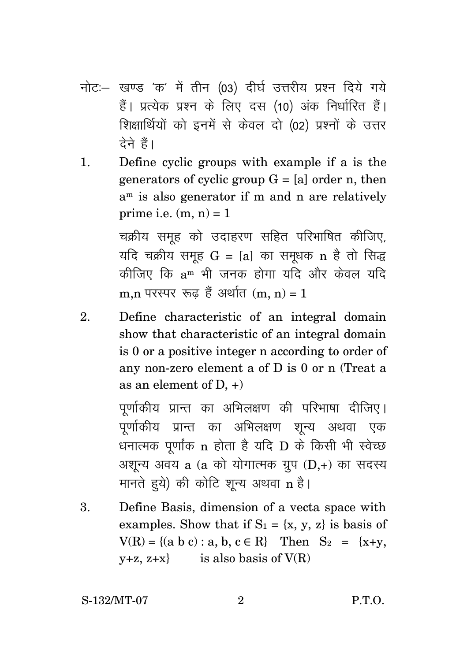- नोट:- खण्ड 'क' में तीन (03) दीर्घ उत्तरीय प्रश्न दिये गये हैं। प्रत्येक प्रश्न के लिए दस (10) अंक निर्धारित हैं। शिक्षार्थियों को इनमें से केवल दो (02) प्रश्नों के उत्तर टेने हैं।
- Define cyclic groups with example if a is the  $1<sub>1</sub>$ generators of cyclic group  $G = [a]$  order n, then  $a<sup>m</sup>$  is also generator if m and n are relatively prime i.e.  $(m, n) = 1$

चक्रीय समुह को उदाहरण सहित परिभाषित कीजिए, यदि चक्रीय समूह  $G = [a]$  का समुधक n है तो सिद्ध कीजिए कि a<sup>m</sup> भी जनक होगा यदि और केवल यदि m.n परस्पर रूढ़ हैं अर्थात (m, n) = 1

Define characteristic of an integral domain  $\overline{2}$ . show that characteristic of an integral domain is 0 or a positive integer n according to order of any non-zero element a of  $D$  is 0 or n (Treat a as an element of  $D +$ 

> पूर्णाकीय प्रान्त का अभिलक्षण की परिभाषा दीजिए। पूर्णाकीय प्रान्त का अभिलक्षण शून्य अथवा एक धनात्मक पूर्णांक n होता है यदि D के किसी भी स्वेच्छ अशुन्य अवय a (a को योगात्मक ग्रुप (D,+) का सदस्य मानते हये) की कोटि शून्य अथवा n है।

 $\overline{3}$ . Define Basis, dimension of a vecta space with examples. Show that if  $S_1 = \{x, y, z\}$  is basis of  $V(R) = \{(a \ b \ c): a, b, c \in R\}$  Then  $S_2 = \{x+y,$  $y+z, z+x$  is also basis of  $V(R)$ 

S-132/MT-07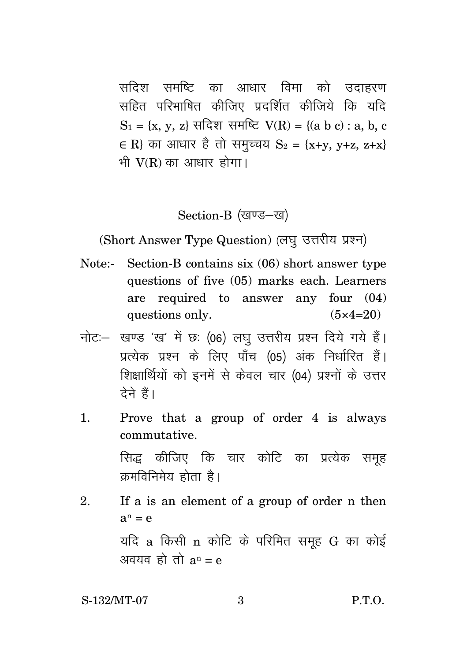सदिश समष्टि का आधार विमा को उदाहरण सहित परिभाषित कीजिए प्रदर्शित कीजिये कि यदि  $S_1 = \{x, y, z\}$  सदिश समष्टि  $V(R) = \{(a \ b \ c) : a, b, c\}$ ∈ R} का आधार है तो समुच्चय  $S_2 = {x+y, y+z, z+x}$ भी  $V(R)$  का आधार होगा।

Section-B (खण्ड-ख)

(Short Answer Type Question) (लघु उत्तरीय प्रश्न)

- Note:- Section-B contains six (06) short answer type questions of five (05) marks each. Learners are required to answer any four (04) questions only.  $(5 \times 4=20)$
- नोट: खण्ड 'ख' में छः (06) लघु उत्तरीय प्रश्न दिये गये हैं। प्रत्येक प्रश्न के लिए पाँच (05) अंक निर्धारित हैं। शिक्षार्थियों को इनमें से केवल चार (04) प्रश्नों के उत्तर देने हैं।
- 1. Prove that a group of order 4 is always commutative.

सिद्ध कीजिए कि चार कोटि का प्रत्येक समह क्रमविनिमेय होता है।

2. If a is an element of a group of order n then  $a^n = e$ यदि  $a$  किसी  $n$  कोटि के परिमित समूह  $G$  का कोई अवयव हो तो  $a^n = e$ 

S-132/MT-07 3 P.T.O.